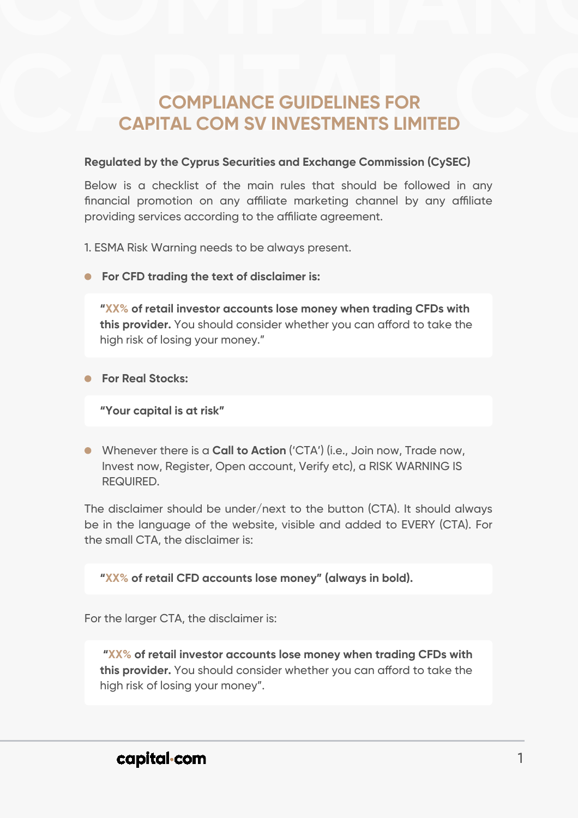# **COMPLIANCE GUIDELINES FOR CAPITAL COM SV INVESTMENTS LIMITED CAPITAL COM SV INVESTMENTS LIMITED**

Below is a checklist of the main rules that should be followed in any financial promotion on any affiliate marketing channel by any affiliate providing services according to the affiliate agreement.

1

# capital com

1. ESMA Risk Warning needs to be always present.

The disclaimer should be under/next to the button (CTA). It should always be in the language of the website, visible and added to EVERY (CTA). For the small CTA, the disclaimer is:

For the larger CTA, the disclaimer is:

**For CFD trading the text of disclaimer is:** 

**For Real Stocks:** 

Whenever there is a **Call to Action** ('CTA') (i.e., Join now, Trade now, Invest now, Register, Open account, Verify etc), a RISK WARNING IS REQUIRED.

**"XX% of retail investor accounts lose money when trading CFDs with**  this provider. You should consider whether you can afford to take the high risk of losing your money."

**"Your capital is at risk"**

**"XX% of retail CFD accounts lose money" (always in bold).** 

 **"XX% of retail investor accounts lose money when trading CFDs with**  this provider. You should consider whether you can afford to take the high risk of losing your money".

### **Regulated by the Cyprus Securities and Exchange Commission (CySEC)**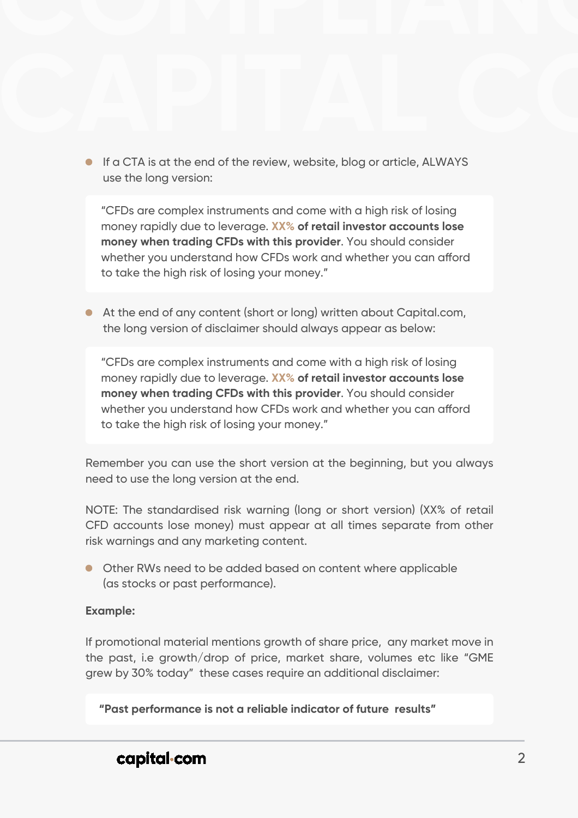If a CTA is at the end of the review, website, blog or article, ALWAYS use the long version:

At the end of any content (short or long) written about Capital.com, the long version of disclaimer should always appear as below:

Other RWs need to be added based on content where applicable (as stocks or past performance).

"CFDs are complex instruments and come with a high risk of losing money rapidly due to leverage. **XX% of retail investor accounts lose money when trading CFDs with this provider**. You should consider whether you understand how CFDs work and whether you can afford to take the high risk of losing your money."

"CFDs are complex instruments and come with a high risk of losing money rapidly due to leverage. **XX% of retail investor accounts lose money when trading CFDs with this provider**. You should consider whether you understand how CFDs work and whether you can afford to take the high risk of losing your money."

Remember you can use the short version at the beginning, but you always need to use the long version at the end.

NOTE: The standardised risk warning (long or short version) (XX% of retail CFD accounts lose money) must appear at all times separate from other risk warnings and any marketing content.

### **Example:**

If promotional material mentions growth of share price, any market move in the past, i.e growth/drop of price, market share, volumes etc like "GME grew by 30% today" these cases require an additional disclaimer:

**"Past performance is not a reliable indicator of future results"** 

# capital com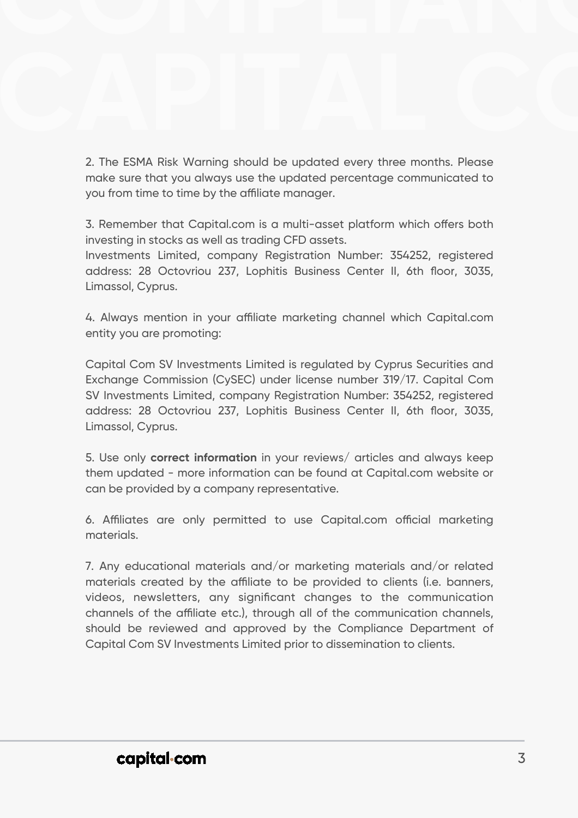2. The ESMA Risk Warning should be updated every three months. Please make sure that you always use the updated percentage communicated to you from time to time by the affiliate manager.

3. Remember that Capital.com is a multi-asset platform which offers both investing in stocks as well as trading CFD assets. Investments Limited, company Registration Number: 354252, registered address: 28 Octovriou 237, Lophitis Business Center II, 6th floor, 3035, Limassol, Cyprus.

4. Always mention in your affiliate marketing channel which Capital.com entity you are promoting:

6. Affiliates are only permitted to use Capital.com official marketing materials.

Capital Com SV Investments Limited is regulated by Cyprus Securities and Exchange Commission (CySEC) under license number 319/17. Capital Com SV Investments Limited, company Registration Number: 354252, registered address: 28 Octovriou 237, Lophitis Business Center II, 6th floor, 3035, Limassol, Cyprus.

5. Use only **correct information** in your reviews/ articles and always keep them updated - more information can be found at Capital.com website or can be provided by a company representative.

7. Any educational materials and/or marketing materials and/or related materials created by the affiliate to be provided to clients (i.e. banners, videos, newsletters, any significant changes to the communication channels of the affiliate etc.), through all of the communication channels, should be reviewed and approved by the Compliance Department of Capital Com SV Investments Limited prior to dissemination to clients.

# capital com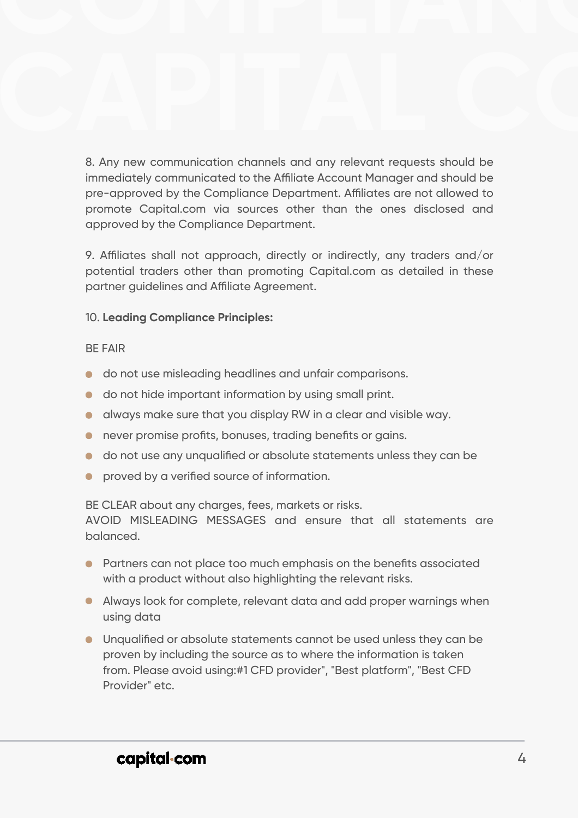8. Any new communication channels and any relevant requests should be immediately communicated to the Affiliate Account Manager and should be pre-approved by the Compliance Department. Affiliates are not allowed to promote Capital.com via sources other than the ones disclosed and approved by the Compliance Department.

9. Affiliates shall not approach, directly or indirectly, any traders and/or potential traders other than promoting Capital.com as detailed in these partner guidelines and Affiliate Agreement.

### 10. **Leading Compliance Principles:**

BE FAIR

BE CLEAR about any charges, fees, markets or risks. AVOID MISLEADING MESSAGES and ensure that all statements are balanced.

- do not use misleading headlines and unfair comparisons.
- do not hide important information by using small print.
- always make sure that you display RW in a clear and visible way.
- never promise profits, bonuses, trading benefits or gains.
- do not use any unqualified or absolute statements unless they can be
- proved by a verified source of information.

- Partners can not place too much emphasis on the benefits associated with a product without also highlighting the relevant risks.
- Always look for complete, relevant data and add proper warnings when using data
- Unqualified or absolute statements cannot be used unless they can be proven by including the source as to where the information is taken from. Please avoid using:#1 CFD provider", "Best platform", "Best CFD Provider" etc.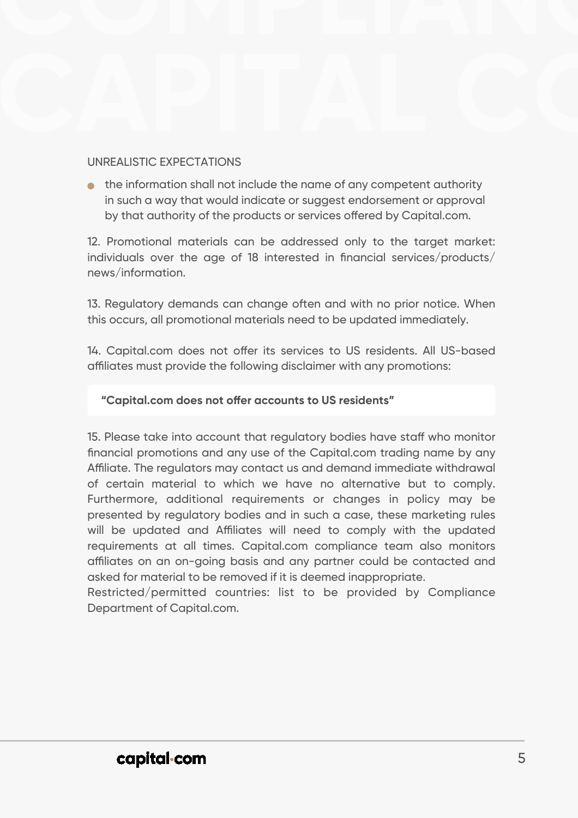the information shall not include the name of any competent authority in such a way that would indicate or suggest endorsement or approval by that authority of the products or services offered by Capital.com.

## UNREALISTIC EXPECTATIONS

12. Promotional materials can be addressed only to the target market: individuals over the age of 18 interested in financial services/products/ news/information.

13. Regulatory demands can change often and with no prior notice. When this occurs, all promotional materials need to be updated immediately.

14. Capital.com does not offer its services to US residents. All US-based affiliates must provide the following disclaimer with any promotions:

15. Please take into account that regulatory bodies have staff who monitor financial promotions and any use of the Capital.com trading name by any Affiliate. The regulators may contact us and demand immediate withdrawal of certain material to which we have no alternative but to comply. Furthermore, additional requirements or changes in policy may be presented by regulatory bodies and in such a case, these marketing rules will be updated and Affiliates will need to comply with the updated requirements at all times. Capital.com compliance team also monitors affiliates on an on-going basis and any partner could be contacted and asked for material to be removed if it is deemed inappropriate.

Restricted/permitted countries: list to be provided by Compliance Department of Capital.com.

# capital com

### **"Capital.com does not o!er accounts to US residents"**